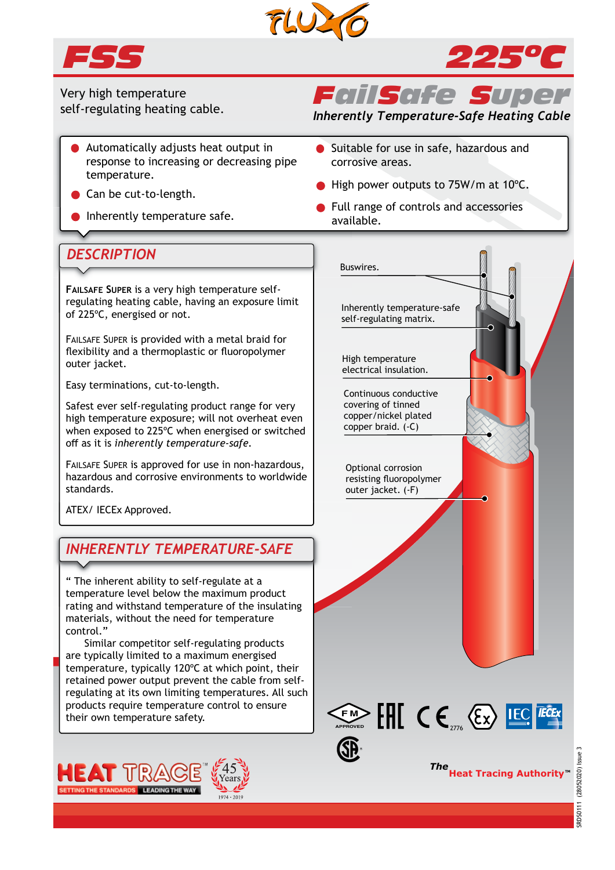



*225ºC*

Very high temperature self-regulating heating cable.

- Automatically adjusts heat output in response to increasing or decreasing pipe temperature.
- Can be cut-to-length.
- Inherently temperature safe.

# *FailSafe Sup*

*Inherently Temperature-Safe Heating Cable*

- Suitable for use in safe, hazardous and corrosive areas.
- High power outputs to 75W/m at 10°C.
- **•** Full range of controls and accessories available.

## *DESCRIPTION*

**FAILSAFE SUPER** is a very high temperature selfregulating heating cable, having an exposure limit of 225ºC, energised or not.

FAILSAFE SUPER is provided with a metal braid for flexibility and a thermoplastic or fluoropolymer outer jacket.

Easy terminations, cut-to-length.

Safest ever self-regulating product range for very high temperature exposure; will not overheat even when exposed to 225ºC when energised or switched off as it is *inherently temperature-safe.*

FAILSAFE SUPER is approved for use in non-hazardous, hazardous and corrosive environments to worldwide standards.

ATEX/ IECEx Approved.

# *INHERENTLY TEMPERATURE-SAFE*

" The inherent ability to self-regulate at a temperature level below the maximum product rating and withstand temperature of the insulating materials, without the need for temperature control."

 Similar competitor self-regulating products are typically limited to a maximum energised temperature, typically 120ºC at which point, their retained power output prevent the cable from selfregulating at its own limiting temperatures. All such products require temperature control to ensure their own temperature safety.